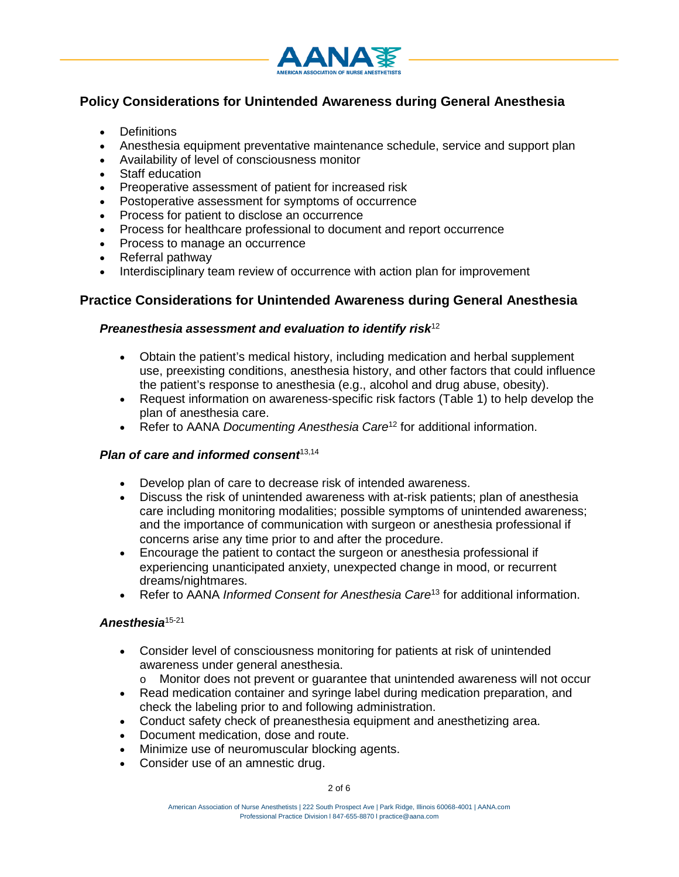

# **Policy Considerations for Unintended Awareness during General Anesthesia**

- Definitions
- Anesthesia equipment preventative maintenance schedule, service and support plan
- Availability of level of consciousness monitor
- Staff education
- Preoperative assessment of patient for increased risk
- Postoperative assessment for symptoms of occurrence
- Process for patient to disclose an occurrence
- Process for healthcare professional to document and report occurrence
- Process to manage an occurrence
- Referral pathway
- Interdisciplinary team review of occurrence with action plan for improvement

# **Practice Considerations for Unintended Awareness during General Anesthesia**

#### *Preanesthesia assessment and evaluation to identify risk*<sup>12</sup>

- Obtain the patient's medical history, including medication and herbal supplement use, preexisting conditions, anesthesia history, and other factors that could influence the patient's response to anesthesia (e.g., alcohol and drug abuse, obesity).
- Request information on awareness-specific risk factors (Table 1) to help develop the plan of anesthesia care.
- Refer to AANA *Documenting Anesthesia Care*<sup>12</sup> for additional information.

#### **Plan of care and informed consent**<sup>[13](#page-4-0)[,14](#page-4-1)</sup>

- Develop plan of care to decrease risk of intended awareness.
- Discuss the risk of unintended awareness with at-risk patients; plan of anesthesia care including monitoring modalities; possible symptoms of unintended awareness; and the importance of communication with surgeon or anesthesia professional if concerns arise any time prior to and after the procedure.
- Encourage the patient to contact the surgeon or anesthesia professional if experiencing unanticipated anxiety, unexpected change in mood, or recurrent dreams/nightmares.
- Refer to AANA *Informed Consent for Anesthesia Care*<sup>13</sup> for additional information.

#### *Anesthesia*15-21

- Consider level of consciousness monitoring for patients at risk of unintended awareness under general anesthesia.
	- o Monitor does not prevent or guarantee that unintended awareness will not occur
- Read medication container and syringe label during medication preparation, and check the labeling prior to and following administration.
- Conduct safety check of preanesthesia equipment and anesthetizing area.
- Document medication, dose and route.
- Minimize use of neuromuscular blocking agents.
- Consider use of an amnestic drug.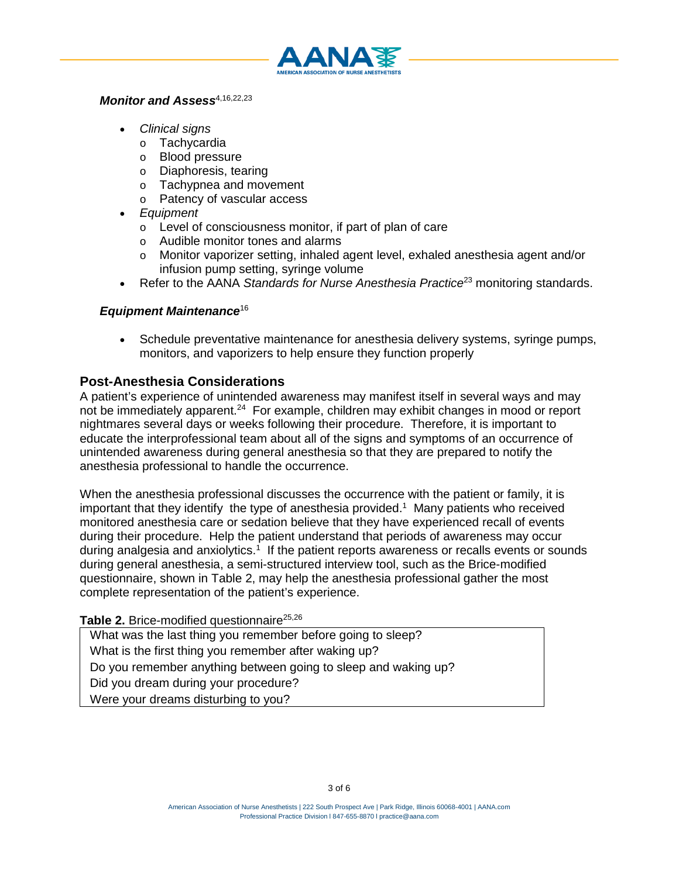

#### *Monitor and Assess*[4,](#page-4-2)[16](#page-4-3)[,22,](#page-5-0)[23](#page-5-1)

- *Clinical signs*
	- o Tachycardia<br>o Blood pressu
	- Blood pressure
	- o Diaphoresis, tearing
	- o Tachypnea and movement
	- o Patency of vascular access
- *Equipment*
	- o Level of consciousness monitor, if part of plan of care
	- o Audible monitor tones and alarms<br>
	o Monitor vaporizer setting, inhaled
	- Monitor vaporizer setting, inhaled agent level, exhaled anesthesia agent and/or infusion pump setting, syringe volume
- Refer to the AANA *Standards for Nurse Anesthesia Practice*<sup>23</sup> monitoring standards.

# *Equipment Maintenance*<sup>16</sup>

• Schedule preventative maintenance for anesthesia delivery systems, syringe pumps, monitors, and vaporizers to help ensure they function properly

# **Post-Anesthesia Considerations**

A patient's experience of unintended awareness may manifest itself in several ways and may not be immediately apparent.24 For example, children may exhibit changes in mood or report nightmares several days or weeks following their procedure. Therefore, it is important to educate the interprofessional team about all of the signs and symptoms of an occurrence of unintended awareness during general anesthesia so that they are prepared to notify the anesthesia professional to handle the occurrence.

When the anesthesia professional discusses the occurrence with the patient or family, it is important that they identify the type of anesthesia provided.<sup>1</sup> Many patients who received monitored anesthesia care or sedation believe that they have experienced recall of events during their procedure. Help the patient understand that periods of awareness may occur during analgesia and anxiolytics.<sup>1</sup> If the patient reports awareness or recalls events or sounds during general anesthesia, a semi-structured interview tool, such as the Brice-modified questionnaire, shown in Table 2, may help the anesthesia professional gather the most complete representation of the patient's experience.

### Table 2. Brice-modified questionnaire<sup>25[,26](#page-5-3)</sup>

What was the last thing you remember before going to sleep? What is the first thing you remember after waking up? Do you remember anything between going to sleep and waking up? Did you dream during your procedure? Were your dreams disturbing to you?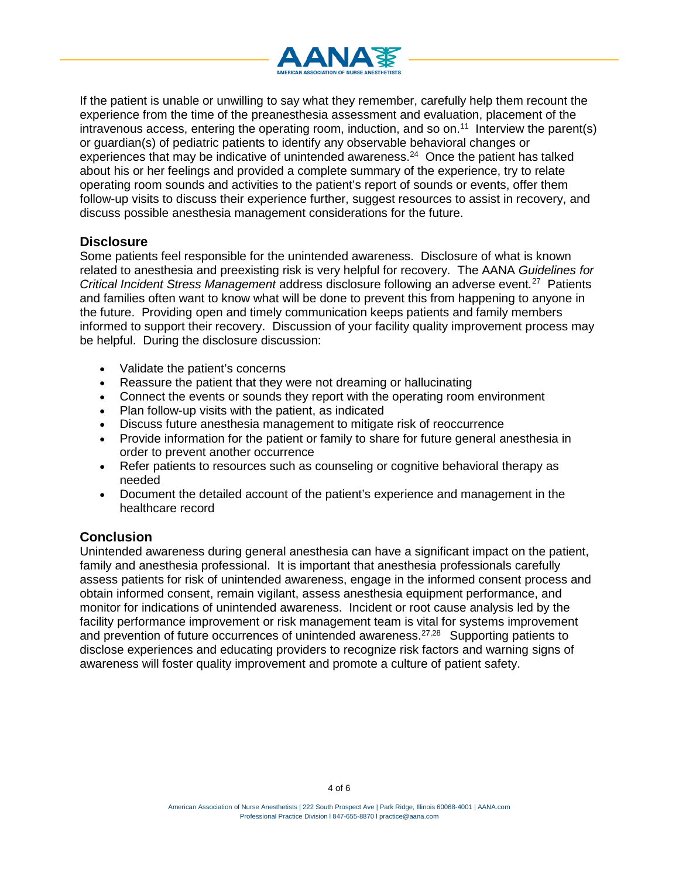

If the patient is unable or unwilling to say what they remember, carefully help them recount the experience from the time of the preanesthesia assessment and evaluation, placement of the intravenous access, entering the operating room, induction, and so on.<sup>11</sup> Interview the parent(s) or guardian(s) of pediatric patients to identify any observable behavioral changes or experiences that may be indicative of unintended awareness.24 Once the patient has talked about his or her feelings and provided a complete summary of the experience, try to relate operating room sounds and activities to the patient's report of sounds or events, offer them follow-up visits to discuss their experience further, suggest resources to assist in recovery, and discuss possible anesthesia management considerations for the future.

### **Disclosure**

Some patients feel responsible for the unintended awareness. Disclosure of what is known related to anesthesia and preexisting risk is very helpful for recovery. The AANA *Guidelines for Critical Incident Stress Management* address disclosure following an adverse event*.* 27 Patients and families often want to know what will be done to prevent this from happening to anyone in the future. Providing open and timely communication keeps patients and family members informed to support their recovery. Discussion of your facility quality improvement process may be helpful. During the disclosure discussion:

- Validate the patient's concerns
- Reassure the patient that they were not dreaming or hallucinating
- Connect the events or sounds they report with the operating room environment
- Plan follow-up visits with the patient, as indicated
- Discuss future anesthesia management to mitigate risk of reoccurrence
- Provide information for the patient or family to share for future general anesthesia in order to prevent another occurrence
- Refer patients to resources such as counseling or cognitive behavioral therapy as needed
- Document the detailed account of the patient's experience and management in the healthcare record

# **Conclusion**

Unintended awareness during general anesthesia can have a significant impact on the patient, family and anesthesia professional. It is important that anesthesia professionals carefully assess patients for risk of unintended awareness, engage in the informed consent process and obtain informed consent, remain vigilant, assess anesthesia equipment performance, and monitor for indications of unintended awareness. Incident or root cause analysis led by the facility performance improvement or risk management team is vital for systems improvement and prevention of future occurrences of unintended awareness.<sup>[27,](#page-5-4)[28](#page-5-5)</sup> Supporting patients to disclose experiences and educating providers to recognize risk factors and warning signs of awareness will foster quality improvement and promote a culture of patient safety.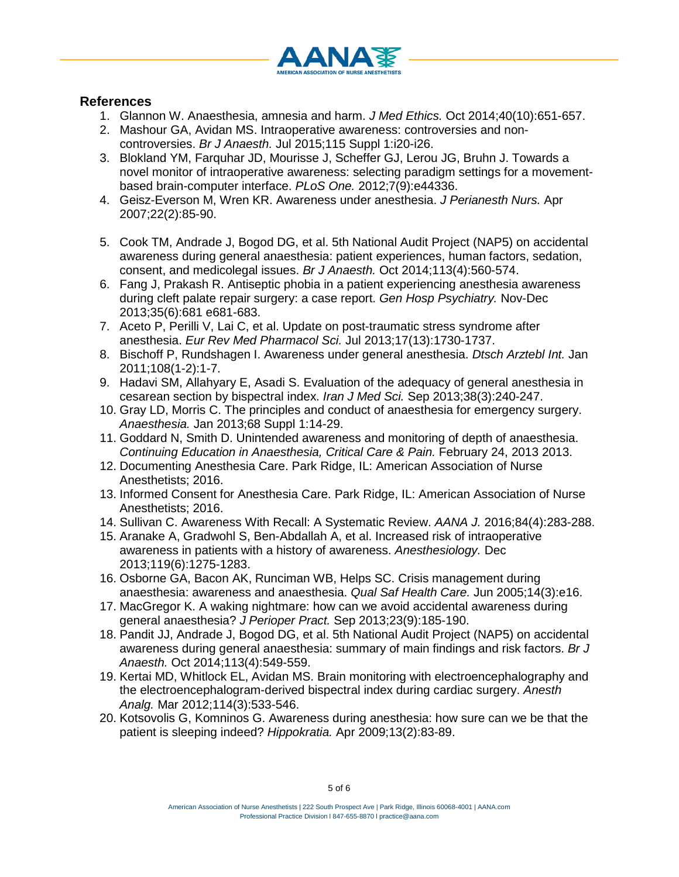

# **References**

- 1. Glannon W. Anaesthesia, amnesia and harm. *J Med Ethics.* Oct 2014;40(10):651-657.
- 2. Mashour GA, Avidan MS. Intraoperative awareness: controversies and noncontroversies. *Br J Anaesth.* Jul 2015;115 Suppl 1:i20-i26.
- 3. Blokland YM, Farquhar JD, Mourisse J, Scheffer GJ, Lerou JG, Bruhn J. Towards a novel monitor of intraoperative awareness: selecting paradigm settings for a movementbased brain-computer interface. *PLoS One.* 2012;7(9):e44336.
- <span id="page-4-2"></span>4. Geisz-Everson M, Wren KR. Awareness under anesthesia. *J Perianesth Nurs.* Apr 2007;22(2):85-90.
- 5. Cook TM, Andrade J, Bogod DG, et al. 5th National Audit Project (NAP5) on accidental awareness during general anaesthesia: patient experiences, human factors, sedation, consent, and medicolegal issues. *Br J Anaesth.* Oct 2014;113(4):560-574.
- 6. Fang J, Prakash R. Antiseptic phobia in a patient experiencing anesthesia awareness during cleft palate repair surgery: a case report. *Gen Hosp Psychiatry.* Nov-Dec 2013;35(6):681 e681-683.
- 7. Aceto P, Perilli V, Lai C, et al. Update on post-traumatic stress syndrome after anesthesia. *Eur Rev Med Pharmacol Sci.* Jul 2013;17(13):1730-1737.
- 8. Bischoff P, Rundshagen I. Awareness under general anesthesia. *Dtsch Arztebl Int.* Jan 2011;108(1-2):1-7.
- 9. Hadavi SM, Allahyary E, Asadi S. Evaluation of the adequacy of general anesthesia in cesarean section by bispectral index. *Iran J Med Sci.* Sep 2013;38(3):240-247.
- 10. Gray LD, Morris C. The principles and conduct of anaesthesia for emergency surgery. *Anaesthesia.* Jan 2013;68 Suppl 1:14-29.
- 11. Goddard N, Smith D. Unintended awareness and monitoring of depth of anaesthesia. *Continuing Education in Anaesthesia, Critical Care & Pain.* February 24, 2013 2013.
- 12. Documenting Anesthesia Care. Park Ridge, IL: American Association of Nurse Anesthetists; 2016.
- <span id="page-4-0"></span>13. Informed Consent for Anesthesia Care. Park Ridge, IL: American Association of Nurse Anesthetists; 2016.
- <span id="page-4-1"></span>14. Sullivan C. Awareness With Recall: A Systematic Review. *AANA J.* 2016;84(4):283-288.
- 15. Aranake A, Gradwohl S, Ben-Abdallah A, et al. Increased risk of intraoperative awareness in patients with a history of awareness. *Anesthesiology.* Dec 2013;119(6):1275-1283.
- <span id="page-4-3"></span>16. Osborne GA, Bacon AK, Runciman WB, Helps SC. Crisis management during anaesthesia: awareness and anaesthesia. *Qual Saf Health Care.* Jun 2005;14(3):e16.
- 17. MacGregor K. A waking nightmare: how can we avoid accidental awareness during general anaesthesia? *J Perioper Pract.* Sep 2013;23(9):185-190.
- 18. Pandit JJ, Andrade J, Bogod DG, et al. 5th National Audit Project (NAP5) on accidental awareness during general anaesthesia: summary of main findings and risk factors. *Br J Anaesth.* Oct 2014;113(4):549-559.
- 19. Kertai MD, Whitlock EL, Avidan MS. Brain monitoring with electroencephalography and the electroencephalogram-derived bispectral index during cardiac surgery. *Anesth Analg.* Mar 2012;114(3):533-546.
- 20. Kotsovolis G, Komninos G. Awareness during anesthesia: how sure can we be that the patient is sleeping indeed? *Hippokratia.* Apr 2009;13(2):83-89.